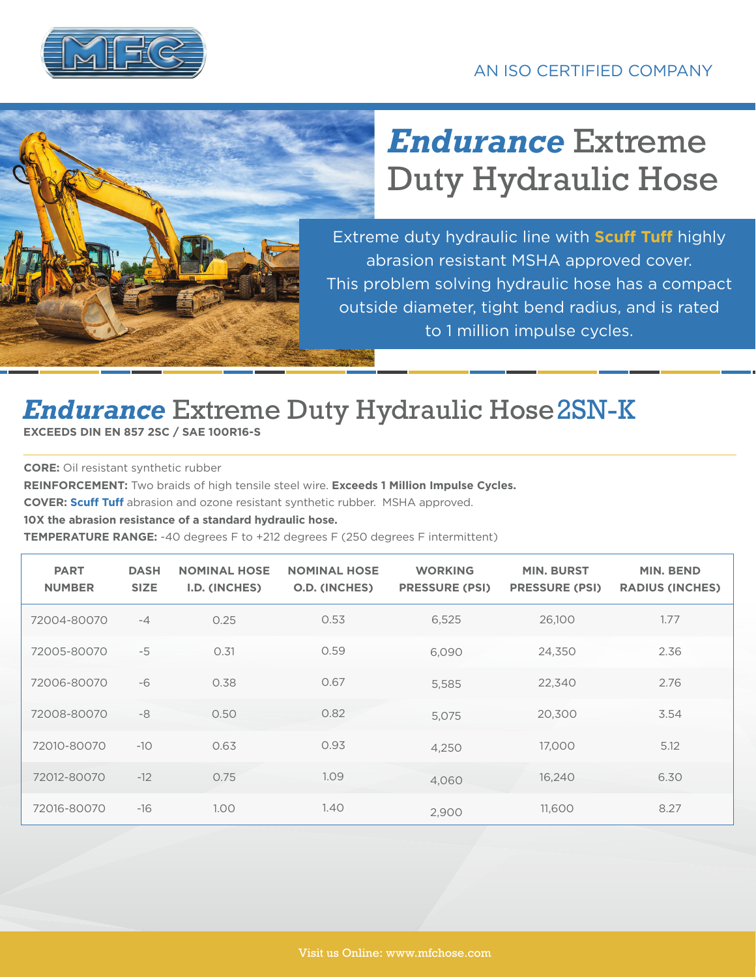

# *Endurance* Extreme Duty Hydraulic Hose

Extreme duty hydraulic line with **Scuff Tuff** highly abrasion resistant MSHA approved cover. This problem solving hydraulic hose has a compact outside diameter, tight bend radius, and is rated to 1 million impulse cycles.

## *Endurance* Extreme Duty Hydraulic Hose2SN-K

**EXCEEDS DIN EN 857 2SC / SAE 100R16-S** 

**CORE:** Oil resistant synthetic rubber

**REINFORCEMENT:** Two braids of high tensile steel wire. **Exceeds 1 Million Impulse Cycles.**

**COVER: Scuff Tuff** abrasion and ozone resistant synthetic rubber. MSHA approved.

**10X the abrasion resistance of a standard hydraulic hose.**

**TEMPERATURE RANGE:** -40 degrees F to +212 degrees F (250 degrees F intermittent)

| <b>PART</b><br><b>NUMBER</b> | <b>DASH</b><br><b>SIZE</b> | <b>NOMINAL HOSE</b><br>I.D. (INCHES) | <b>NOMINAL HOSE</b><br><b>O.D. (INCHES)</b> | <b>WORKING</b><br><b>PRESSURE (PSI)</b> | <b>MIN. BURST</b><br><b>PRESSURE (PSI)</b> | <b>MIN. BEND</b><br><b>RADIUS (INCHES)</b> |
|------------------------------|----------------------------|--------------------------------------|---------------------------------------------|-----------------------------------------|--------------------------------------------|--------------------------------------------|
| 72004-80070                  | $-4$                       | 0.25                                 | 0.53                                        | 6,525                                   | 26,100                                     | 1.77                                       |
| 72005-80070                  | $-5$                       | 0.31                                 | 0.59                                        | 6,090                                   | 24,350                                     | 2.36                                       |
| 72006-80070                  | -6                         | 0.38                                 | 0.67                                        | 5,585                                   | 22,340                                     | 2.76                                       |
| 72008-80070                  | -8                         | 0.50                                 | 0.82                                        | 5,075                                   | 20,300                                     | 3.54                                       |
| 72010-80070                  | $-10$                      | 0.63                                 | 0.93                                        | 4,250                                   | 17,000                                     | 5.12                                       |
| 72012-80070                  | $-12$                      | 0.75                                 | 1.09                                        | 4.060                                   | 16,240                                     | 6.30                                       |
| 72016-80070                  | $-16$                      | 1.00                                 | 1.40                                        | 2,900                                   | 11,600                                     | 8.27                                       |